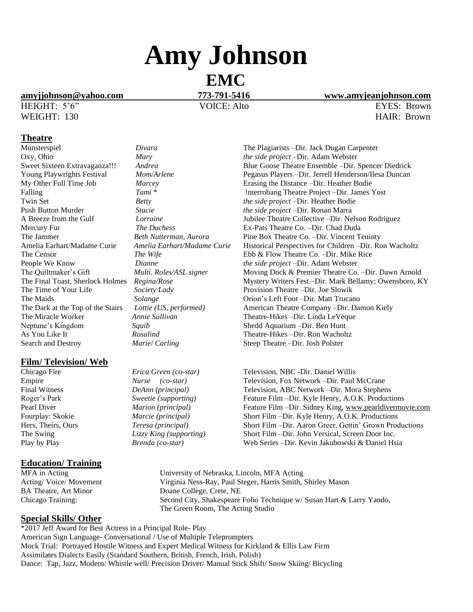# **Amy Johnson**

# **EMC**

# **[amyjjohnson@yahoo.com](mailto:amyjjohnson@yahoo.com) 773-791-5416 [www.amyjeanjohnson.com](http://www.amyjeanjohnson.com/)**

HEIGHT: 5'6" VOICE: Alto EYES: Brown

#### **Theatre**

Neptune's Kingdom *Squib Squib* Shedd Aquarium –Dir. Ben Hunt As You Like It **Rosalind Shedd Accommon Contains As You** Like It Search and Destroy *Marie/ Carling* Steep Theatre –Dir. Josh Polster

## **Film/ Television/ Web**

## **Education/ Training**

#### **Special Skills/ Other**

\*2017 Jeff Award for Best Actress in a Principal Role- Play American Sign Language- Conversational / Use of Multiple Teleprompters Mock Trial: Portrayed Hostile Witness and Expert Medical Witness for Kirkland & Ellis Law Firm Assimilates Dialects Easily (Standard Southern, British, French, Irish, Polish) Dance: Tap, Jazz, Modern/ Whistle well/ Precision Driver/ Manual Stick Shift/ Snow Skiing/ Bicycling

Munsterspiel *Divara* The Plagiarists –Dir. Jack Dugan Carpenter Oxy, Ohio *Mary Mary the side project* – Dir. Adam Webster<br>
Sweet Sixteen Extravaganza!!! Andrea Blue Goose Theatre Ensemble – Dir. S Sweet Sixteen Extravaganza!!! *Andrea* Blue Goose Theatre Ensemble –Dir. Spencer Diedrick<br>
Young Playwrights Festival *Mom/Arlene* Pegasus Players –Dir. Jerrell Henderson/Ilesa Duncan Young Playwrights Festival *Mom/Arlene* Pegasus Players –Dir. Jerrell Henderson/Ilesa Duncan My Other Full Time Job *Marcey* Erasing the Distance –Dir. Heather Bodie Marcey **Example 1** Example 1 **Example 1** Example 1 **Marcey Example 1** Example 1 **Example 1** Example 1 **Example 1** Example 1 **Example 1** Example 1 **Example 1** Example 1 **Example 1** Example 1 **Example 1** Example 1 **Example** Falling *Tami* \* *Tami* \* *Interrobang Theatre Project –Dir. James Yost* Twin Set *Betty the side project* –Dir. Heather Bodie Push Button Murder *Stacie the side project* –Dir. Ronan Marra A Breeze from the Gulf *Lorraine* Jubilee Theatre Collective –Dir. Nelson Rodriguez Mercury Fur *The Duchess* Ex-Pats Theatre Co. –Dir. Chad Duda The Jammer *Beth Nutterman, Aurora* Pine Box Theatre Co. –Dir. Vincent Teninty Amelia Earhart/Madame Curie *Amelia Earhart/Madame Curie* Historical Perspectives for Children –Dir. Ron Wacholtz The Censor *The Wife* Ebb & Flow Theatre Co. –Dir. Mike Rice People We Know *Dianne the side project* –Dir. Adam Webster The Quiltmaker's Gift *Multi. Roles/ASL signer* Moving Dock & Premier Theatre Co. –Dir. Dawn Arnold The Final Toast, Sherlock Holmes *Regina/Rose* Mystery Writers Fest –Dir. Mark Bellamy; Owensboro, KY The Time of Your Life *Society Lady* Provision Theatre –Dir. Joe Slowik The Maids **Solange** *Solange* **Solange Orion's Left Foot –Dir. Matt Trucano** The Dark at the Top of the Stairs *Lottie (US, performed)* American Theatre Company –Dir. Damon Kiely The Miracle Worker *Annie Sullivan* Theatre-Hikes –Dir. Linda LeVeque As You Like It *Rosalind* Theatre-Hikes –Dir. Ron Wacholtz

Chicago Fire *Erica Green (co-star)* Television, NBC -Dir. Daniel Willis Empire *Nurse (co-star)* Television, Fox Network –Dir. Paul McCrane Final Witness *DeAnn (principal)* Television, ABC Network –Dir. Mora Stephens Roger's Park *Sweetie (supporting)* Feature Film –Dir. Kyle Henry, A.O.K. Productions Pearl Diver *Marion (principal)* Feature Film –Dir. Sidney King[, www.pearldivermovie.com](http://www.pearldivermovie.com/) Fourplay: Skokie *Marcie (principal)* Short Film –Dir. Kyle Henry, A.O.K. Productions Hers, Theirs, Ours *Teresa (principal)* Short Film –Dir. Aaron Greer, Gettin' Grown Productions The Swing *Lizzy King (supporting)* Short Film –Dir. John Versical, Screen Door Inc. Play by Play *Brenda (co-star)* Web Series –Dir. Kevin Jakubowski & Daniel Hsia

MFA in Acting University of Nebraska, Lincoln, MFA Acting Acting/ Voice/ Movement Virginia Ness-Ray, Paul Steger, Harris Smith, Shirley Mason BA Theatre, Art Minor Doane College, Crete, NE Chicago Training: Second City, Shakespeare Folio Technique w/ Susan Hart & Larry Yando, The Green Room, The Acting Studio

WEIGHT: 130 **HAIR: Brown**